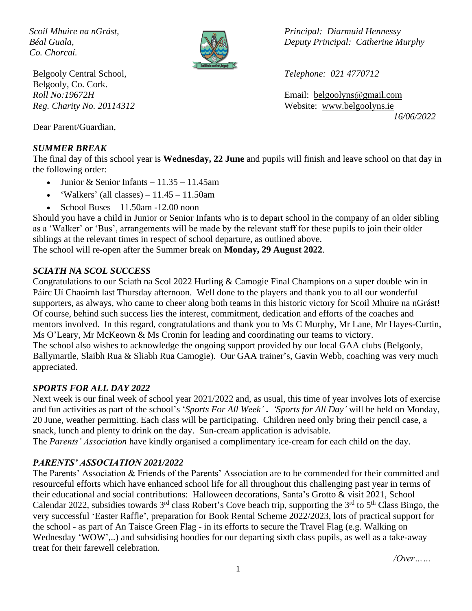*Co. Chorcaí.*



Belgooly Central School, *Telephone: 021 4770712* Belgooly, Co. Cork.

Dear Parent/Guardian,

### *SUMMER BREAK*

*Scoil Mhuire na nGrást, Principal: Diarmuid Hennessy Béal Guala, Deputy Principal: Catherine Murphy*

*Roll No:19672H* Email: [belgoolyns@gmail.com](mailto:belgoolyns@gmail.com) *Reg. Charity No. 20114312* Website: [www.belgoolyns.ie](http://www.belgoolyns.scoilnet.ie/) *16/06/2022*

The final day of this school year is **Wednesday, 22 June** and pupils will finish and leave school on that day in the following order:

- Junior & Senior Infants  $11.35 11.45$ am
- 'Walkers' (all classes)  $11.45 11.50$ am
- School Buses  $-11.50$ am  $-12.00$  noon

Should you have a child in Junior or Senior Infants who is to depart school in the company of an older sibling as a 'Walker' or 'Bus', arrangements will be made by the relevant staff for these pupils to join their older siblings at the relevant times in respect of school departure, as outlined above. The school will re-open after the Summer break on **Monday, 29 August 2022**.

### *SCIATH NA SCOL SUCCESS*

Congratulations to our Sciath na Scol 2022 Hurling & Camogie Final Champions on a super double win in Páirc Uí Chaoimh last Thursday afternoon. Well done to the players and thank you to all our wonderful supporters, as always, who came to cheer along both teams in this historic victory for Scoil Mhuire na nGrást! Of course, behind such success lies the interest, commitment, dedication and efforts of the coaches and mentors involved. In this regard, congratulations and thank you to Ms C Murphy, Mr Lane, Mr Hayes-Curtin, Ms O'Leary, Mr McKeown & Ms Cronin for leading and coordinating our teams to victory. The school also wishes to acknowledge the ongoing support provided by our local GAA clubs (Belgooly, Ballymartle, Slaibh Rua & Sliabh Rua Camogie). Our GAA trainer's, Gavin Webb, coaching was very much appreciated.

# *SPORTS FOR ALL DAY 2022*

Next week is our final week of school year 2021/2022 and, as usual, this time of year involves lots of exercise and fun activities as part of the school's '*Sports For All Week'* **.** *'Sports for All Day'* will be held on Monday, 20 June, weather permitting. Each class will be participating. Children need only bring their pencil case, a snack, lunch and plenty to drink on the day. Sun-cream application is advisable.

The *Parents' Association* have kindly organised a complimentary ice-cream for each child on the day.

# *PARENTS' ASSOCIATION 2021/2022*

The Parents' Association & Friends of the Parents' Association are to be commended for their committed and resourceful efforts which have enhanced school life for all throughout this challenging past year in terms of their educational and social contributions: Halloween decorations, Santa's Grotto & visit 2021, School Calendar 2022, subsidies towards  $3<sup>rd</sup>$  class Robert's Cove beach trip, supporting the  $3<sup>rd</sup>$  to  $5<sup>th</sup>$  Class Bingo, the very successful 'Easter Raffle', preparation for Book Rental Scheme 2022/2023, lots of practical support for the school - as part of An Taisce Green Flag - in its efforts to secure the Travel Flag (e.g. Walking on Wednesday 'WOW',..) and subsidising hoodies for our departing sixth class pupils, as well as a take-away treat for their farewell celebration.

*/Over……*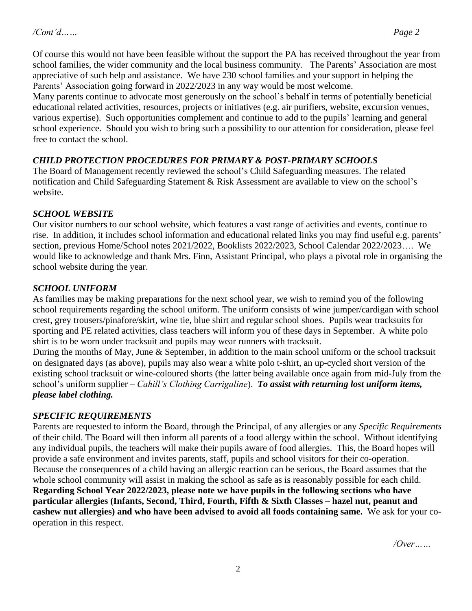Of course this would not have been feasible without the support the PA has received throughout the year from school families, the wider community and the local business community. The Parents' Association are most appreciative of such help and assistance. We have 230 school families and your support in helping the Parents' Association going forward in 2022/2023 in any way would be most welcome.

Many parents continue to advocate most generously on the school's behalf in terms of potentially beneficial educational related activities, resources, projects or initiatives (e.g. air purifiers, website, excursion venues, various expertise). Such opportunities complement and continue to add to the pupils' learning and general school experience. Should you wish to bring such a possibility to our attention for consideration, please feel free to contact the school.

## *CHILD PROTECTION PROCEDURES FOR PRIMARY & POST-PRIMARY SCHOOLS*

The Board of Management recently reviewed the school's Child Safeguarding measures. The related notification and Child Safeguarding Statement & Risk Assessment are available to view on the school's website.

### *SCHOOL WEBSITE*

Our visitor numbers to our school website, which features a vast range of activities and events, continue to rise. In addition, it includes school information and educational related links you may find useful e.g. parents' section, previous Home/School notes 2021/2022, Booklists 2022/2023, School Calendar 2022/2023…. We would like to acknowledge and thank Mrs. Finn, Assistant Principal, who plays a pivotal role in organising the school website during the year.

### *SCHOOL UNIFORM*

As families may be making preparations for the next school year, we wish to remind you of the following school requirements regarding the school uniform. The uniform consists of wine jumper/cardigan with school crest, grey trousers/pinafore/skirt, wine tie, blue shirt and regular school shoes. Pupils wear tracksuits for sporting and PE related activities, class teachers will inform you of these days in September. A white polo shirt is to be worn under tracksuit and pupils may wear runners with tracksuit.

During the months of May, June & September, in addition to the main school uniform or the school tracksuit on designated days (as above), pupils may also wear a white polo t-shirt, an up-cycled short version of the existing school tracksuit or wine-coloured shorts (the latter being available once again from mid-July from the school's uniform supplier – *Cahill's Clothing Carrigaline*). *To assist with returning lost uniform items, please label clothing.*

### *SPECIFIC REQUIREMENTS*

Parents are requested to inform the Board, through the Principal, of any allergies or any *Specific Requirements* of their child. The Board will then inform all parents of a food allergy within the school. Without identifying any individual pupils, the teachers will make their pupils aware of food allergies. This, the Board hopes will provide a safe environment and invites parents, staff, pupils and school visitors for their co-operation. Because the consequences of a child having an allergic reaction can be serious, the Board assumes that the whole school community will assist in making the school as safe as is reasonably possible for each child. **Regarding School Year 2022/2023, please note we have pupils in the following sections who have particular allergies (Infants, Second, Third, Fourth, Fifth & Sixth Classes – hazel nut, peanut and cashew nut allergies) and who have been advised to avoid all foods containing same.** We ask for your cooperation in this respect.

*/Over……*